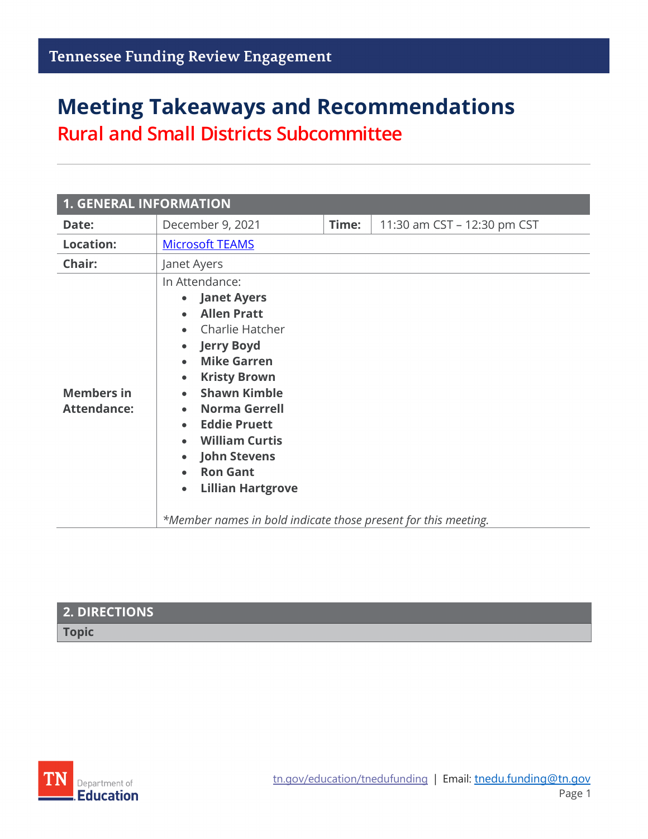## **Meeting Takeaways and Recommendations Rural and Small Districts Subcommittee**

| <b>1. GENERAL INFORMATION</b>           |                                                                                                                                                                                                                                                                                                                                                                                                                                                                                                                                                    |       |                             |  |  |  |  |
|-----------------------------------------|----------------------------------------------------------------------------------------------------------------------------------------------------------------------------------------------------------------------------------------------------------------------------------------------------------------------------------------------------------------------------------------------------------------------------------------------------------------------------------------------------------------------------------------------------|-------|-----------------------------|--|--|--|--|
| Date:                                   | December 9, 2021                                                                                                                                                                                                                                                                                                                                                                                                                                                                                                                                   | Time: | 11:30 am CST - 12:30 pm CST |  |  |  |  |
| <b>Location:</b>                        | <b>Microsoft TEAMS</b>                                                                                                                                                                                                                                                                                                                                                                                                                                                                                                                             |       |                             |  |  |  |  |
| Chair:                                  | Janet Ayers                                                                                                                                                                                                                                                                                                                                                                                                                                                                                                                                        |       |                             |  |  |  |  |
| <b>Members in</b><br><b>Attendance:</b> | In Attendance:<br><b>Janet Ayers</b><br>$\bullet$<br><b>Allen Pratt</b><br>$\bullet$<br>Charlie Hatcher<br>$\bullet$<br><b>Jerry Boyd</b><br>$\bullet$<br><b>Mike Garren</b><br>$\bullet$<br><b>Kristy Brown</b><br>$\bullet$<br><b>Shawn Kimble</b><br>$\bullet$<br><b>Norma Gerrell</b><br>$\bullet$<br><b>Eddie Pruett</b><br>$\bullet$<br><b>William Curtis</b><br><b>John Stevens</b><br>$\bullet$<br><b>Ron Gant</b><br>$\bullet$<br><b>Lillian Hartgrove</b><br>$\bullet$<br>*Member names in bold indicate those present for this meeting. |       |                             |  |  |  |  |

| 2. DIRECTIONS |  |
|---------------|--|
| <b>Topic</b>  |  |

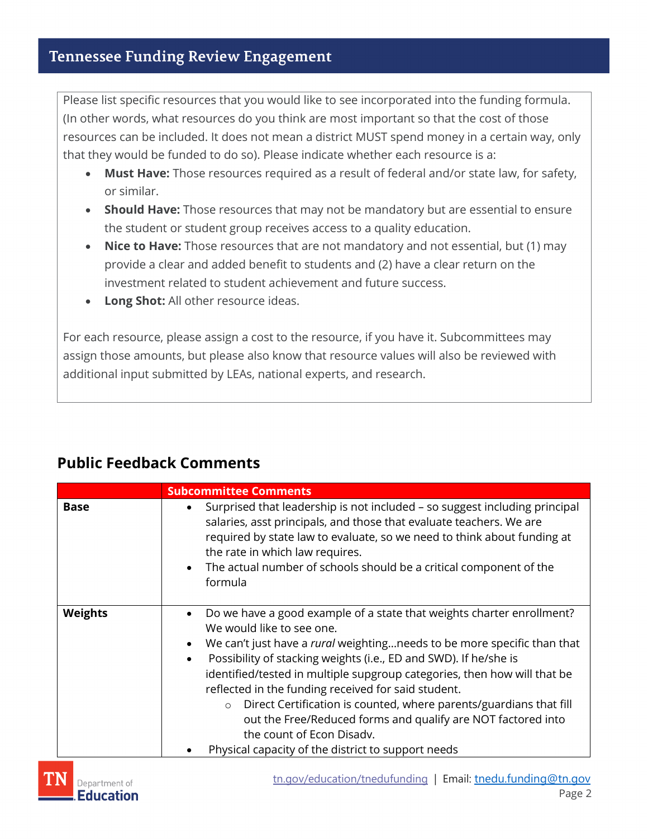Please list specific resources that you would like to see incorporated into the funding formula. (In other words, what resources do you think are most important so that the cost of those resources can be included. It does not mean a district MUST spend money in a certain way, only that they would be funded to do so). Please indicate whether each resource is a:

- **Must Have:** Those resources required as a result of federal and/or state law, for safety, or similar.
- **Should Have:** Those resources that may not be mandatory but are essential to ensure the student or student group receives access to a quality education.
- **Nice to Have:** Those resources that are not mandatory and not essential, but (1) may provide a clear and added benefit to students and (2) have a clear return on the investment related to student achievement and future success.
- **Long Shot:** All other resource ideas.

For each resource, please assign a cost to the resource, if you have it. Subcommittees may assign those amounts, but please also know that resource values will also be reviewed with additional input submitted by LEAs, national experts, and research.

### **Public Feedback Comments**

|                | <b>Subcommittee Comments</b>                                                                                                                                                                                                                                                                                                                                                                                                                                                                                                                                                                                                                                            |  |  |
|----------------|-------------------------------------------------------------------------------------------------------------------------------------------------------------------------------------------------------------------------------------------------------------------------------------------------------------------------------------------------------------------------------------------------------------------------------------------------------------------------------------------------------------------------------------------------------------------------------------------------------------------------------------------------------------------------|--|--|
| <b>Base</b>    | Surprised that leadership is not included - so suggest including principal<br>٠<br>salaries, asst principals, and those that evaluate teachers. We are<br>required by state law to evaluate, so we need to think about funding at<br>the rate in which law requires.<br>The actual number of schools should be a critical component of the<br>$\bullet$<br>formula                                                                                                                                                                                                                                                                                                      |  |  |
| <b>Weights</b> | Do we have a good example of a state that weights charter enrollment?<br>$\bullet$<br>We would like to see one.<br>We can't just have a <i>rural</i> weighting needs to be more specific than that<br>$\bullet$<br>Possibility of stacking weights (i.e., ED and SWD). If he/she is<br>$\bullet$<br>identified/tested in multiple supgroup categories, then how will that be<br>reflected in the funding received for said student.<br>Direct Certification is counted, where parents/guardians that fill<br>$\circ$<br>out the Free/Reduced forms and qualify are NOT factored into<br>the count of Econ Disady.<br>Physical capacity of the district to support needs |  |  |

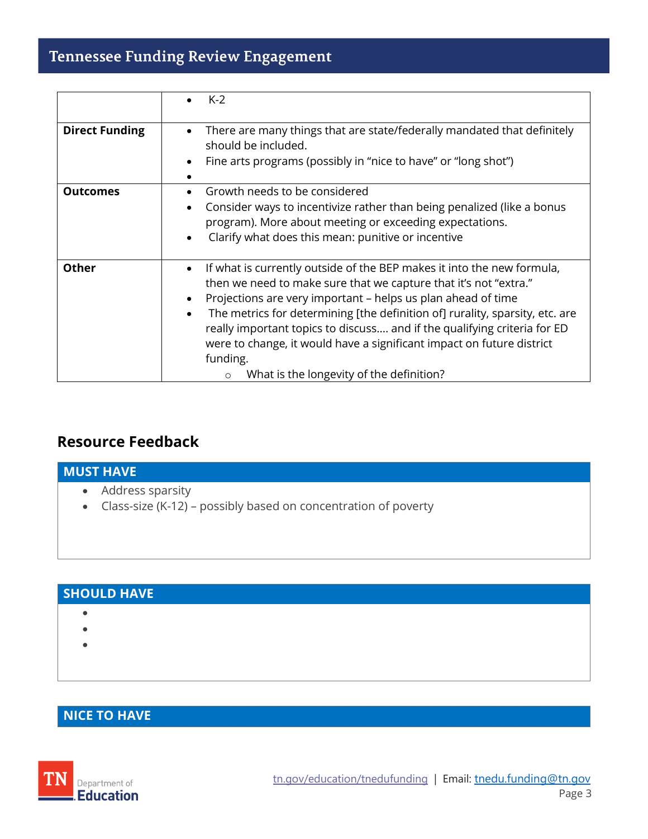### **Tennessee Funding Review Engagement**

|                       | $K-2$                                                                                                                                                                                                                                                                                                                                                                                                                                                                                                                                                     |
|-----------------------|-----------------------------------------------------------------------------------------------------------------------------------------------------------------------------------------------------------------------------------------------------------------------------------------------------------------------------------------------------------------------------------------------------------------------------------------------------------------------------------------------------------------------------------------------------------|
| <b>Direct Funding</b> | There are many things that are state/federally mandated that definitely<br>$\bullet$<br>should be included.<br>Fine arts programs (possibly in "nice to have" or "long shot")<br>$\bullet$                                                                                                                                                                                                                                                                                                                                                                |
| <b>Outcomes</b>       | Growth needs to be considered<br>Consider ways to incentivize rather than being penalized (like a bonus<br>$\bullet$<br>program). More about meeting or exceeding expectations.<br>Clarify what does this mean: punitive or incentive<br>$\bullet$                                                                                                                                                                                                                                                                                                        |
| <b>Other</b>          | If what is currently outside of the BEP makes it into the new formula,<br>$\bullet$<br>then we need to make sure that we capture that it's not "extra."<br>Projections are very important - helps us plan ahead of time<br>$\bullet$<br>The metrics for determining [the definition of] rurality, sparsity, etc. are<br>$\bullet$<br>really important topics to discuss and if the qualifying criteria for ED<br>were to change, it would have a significant impact on future district<br>funding.<br>What is the longevity of the definition?<br>$\circ$ |

### **Resource Feedback**

# **MUST HAVE** • Address sparsity • Class-size (K-12) – possibly based on concentration of poverty

| <b>SHOULD HAVE</b> |  |  |  |
|--------------------|--|--|--|
|                    |  |  |  |
|                    |  |  |  |
|                    |  |  |  |
|                    |  |  |  |

#### **NICE TO HAVE**